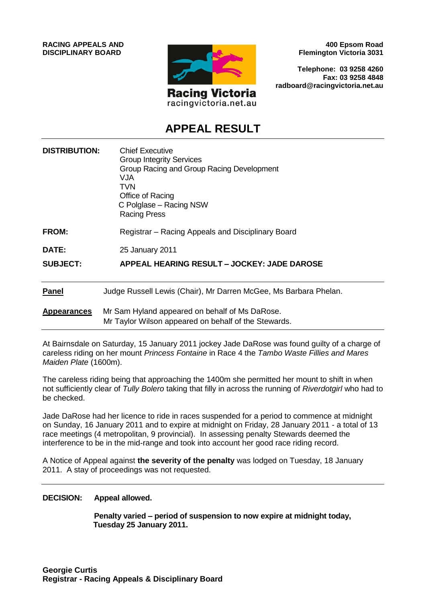**RACING APPEALS AND DISCIPLINARY BOARD**



racingvictoria.net.au

**400 Epsom Road Flemington Victoria 3031**

**Telephone: 03 9258 4260 Fax: 03 9258 4848 radboard@racingvictoria.net.au**

# **APPEAL RESULT**

| <b>DISTRIBUTION:</b> | <b>Chief Executive</b><br><b>Group Integrity Services</b><br>Group Racing and Group Racing Development<br>VJA<br>TVN<br>Office of Racing<br>C Polglase - Racing NSW<br><b>Racing Press</b> |
|----------------------|--------------------------------------------------------------------------------------------------------------------------------------------------------------------------------------------|
| <b>FROM:</b>         | Registrar – Racing Appeals and Disciplinary Board                                                                                                                                          |
| <b>DATE:</b>         | 25 January 2011                                                                                                                                                                            |
| <b>SUBJECT:</b>      | APPEAL HEARING RESULT – JOCKEY: JADE DAROSE                                                                                                                                                |
| <b>Panel</b>         | Judge Russell Lewis (Chair), Mr Darren McGee, Ms Barbara Phelan.                                                                                                                           |
| <b>Appearances</b>   | Mr Sam Hyland appeared on behalf of Ms DaRose.<br>Mr Taylor Wilson appeared on behalf of the Stewards.                                                                                     |

At Bairnsdale on Saturday, 15 January 2011 jockey Jade DaRose was found guilty of a charge of careless riding on her mount *Princess Fontaine* in Race 4 the *Tambo Waste Fillies and Mares Maiden Plate* (1600m).

The careless riding being that approaching the 1400m she permitted her mount to shift in when not sufficiently clear of *Tully Bolero* taking that filly in across the running of *Riverdotgirl* who had to be checked.

Jade DaRose had her licence to ride in races suspended for a period to commence at midnight on Sunday, 16 January 2011 and to expire at midnight on Friday, 28 January 2011 - a total of 13 race meetings (4 metropolitan, 9 provincial). In assessing penalty Stewards deemed the interference to be in the mid-range and took into account her good race riding record.

A Notice of Appeal against **the severity of the penalty** was lodged on Tuesday, 18 January 2011. A stay of proceedings was not requested.

#### **DECISION: Appeal allowed.**

**Penalty varied – period of suspension to now expire at midnight today, Tuesday 25 January 2011.**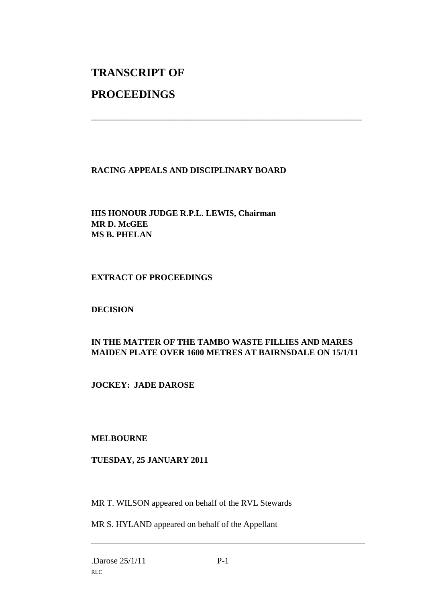# **TRANSCRIPT OF**

## **PROCEEDINGS**

### **RACING APPEALS AND DISCIPLINARY BOARD**

**HIS HONOUR JUDGE R.P.L. LEWIS, Chairman MR D. McGEE MS B. PHELAN**

### **EXTRACT OF PROCEEDINGS**

### **DECISION**

## **IN THE MATTER OF THE TAMBO WASTE FILLIES AND MARES MAIDEN PLATE OVER 1600 METRES AT BAIRNSDALE ON 15/1/11**

\_\_\_\_\_\_\_\_\_\_\_\_\_\_\_\_\_\_\_\_\_\_\_\_\_\_\_\_\_\_\_\_\_\_\_\_\_\_\_\_\_\_\_\_\_\_\_\_\_\_\_\_\_\_\_\_\_\_\_\_\_\_\_

### **JOCKEY: JADE DAROSE**

### **MELBOURNE**

### **TUESDAY, 25 JANUARY 2011**

MR T. WILSON appeared on behalf of the RVL Stewards

MR S. HYLAND appeared on behalf of the Appellant